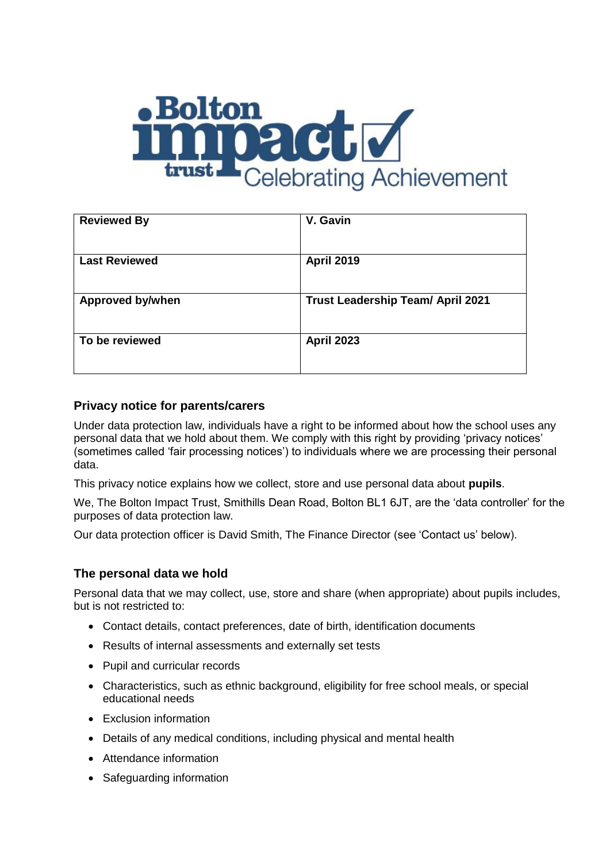

| <b>Reviewed By</b>   | V. Gavin                                 |
|----------------------|------------------------------------------|
| <b>Last Reviewed</b> | <b>April 2019</b>                        |
| Approved by/when     | <b>Trust Leadership Team/ April 2021</b> |
| To be reviewed       | <b>April 2023</b>                        |

## **Privacy notice for parents/carers**

Under data protection law, individuals have a right to be informed about how the school uses any personal data that we hold about them. We comply with this right by providing 'privacy notices' (sometimes called 'fair processing notices') to individuals where we are processing their personal data.

This privacy notice explains how we collect, store and use personal data about **pupils**.

We, The Bolton Impact Trust, Smithills Dean Road, Bolton BL1 6JT, are the 'data controller' for the purposes of data protection law.

Our data protection officer is David Smith, The Finance Director (see 'Contact us' below).

### **The personal data we hold**

Personal data that we may collect, use, store and share (when appropriate) about pupils includes, but is not restricted to:

- Contact details, contact preferences, date of birth, identification documents
- Results of internal assessments and externally set tests
- Pupil and curricular records
- Characteristics, such as ethnic background, eligibility for free school meals, or special educational needs
- Exclusion information
- Details of any medical conditions, including physical and mental health
- Attendance information
- Safeguarding information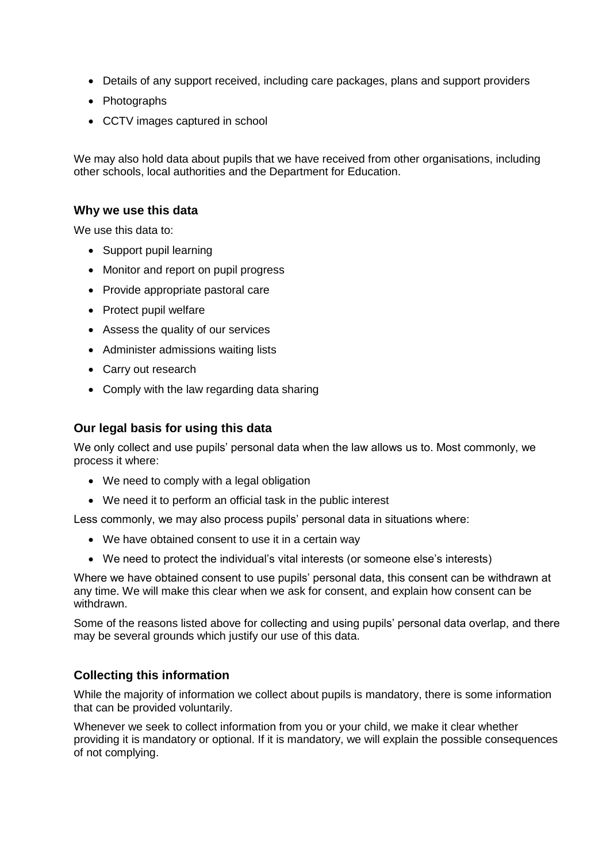- Details of any support received, including care packages, plans and support providers
- Photographs
- CCTV images captured in school

We may also hold data about pupils that we have received from other organisations, including other schools, local authorities and the Department for Education.

#### **Why we use this data**

We use this data to:

- Support pupil learning
- Monitor and report on pupil progress
- Provide appropriate pastoral care
- Protect pupil welfare
- Assess the quality of our services
- Administer admissions waiting lists
- Carry out research
- Comply with the law regarding data sharing

#### **Our legal basis for using this data**

We only collect and use pupils' personal data when the law allows us to. Most commonly, we process it where:

- We need to comply with a legal obligation
- We need it to perform an official task in the public interest

Less commonly, we may also process pupils' personal data in situations where:

- We have obtained consent to use it in a certain way
- We need to protect the individual's vital interests (or someone else's interests)

Where we have obtained consent to use pupils' personal data, this consent can be withdrawn at any time. We will make this clear when we ask for consent, and explain how consent can be withdrawn.

Some of the reasons listed above for collecting and using pupils' personal data overlap, and there may be several grounds which justify our use of this data.

#### **Collecting this information**

While the majority of information we collect about pupils is mandatory, there is some information that can be provided voluntarily.

Whenever we seek to collect information from you or your child, we make it clear whether providing it is mandatory or optional. If it is mandatory, we will explain the possible consequences of not complying.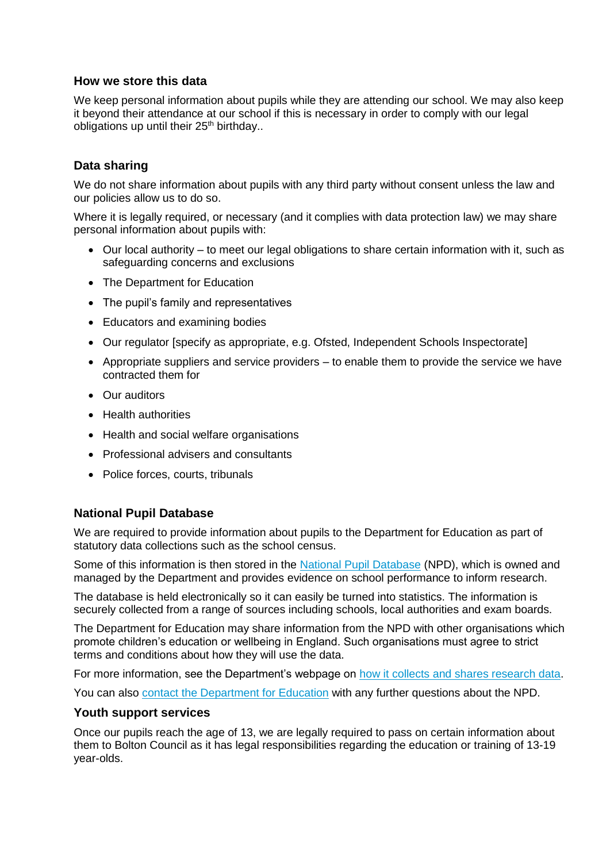### **How we store this data**

We keep personal information about pupils while they are attending our school. We may also keep it beyond their attendance at our school if this is necessary in order to comply with our legal obligations up until their  $25<sup>th</sup>$  birthday..

### **Data sharing**

We do not share information about pupils with any third party without consent unless the law and our policies allow us to do so.

Where it is legally required, or necessary (and it complies with data protection law) we may share personal information about pupils with:

- $\bullet$  Our local authority to meet our legal obligations to share certain information with it, such as safeguarding concerns and exclusions
- The Department for Education
- The pupil's family and representatives
- Educators and examining bodies
- Our regulator [specify as appropriate, e.g. Ofsted, Independent Schools Inspectorate]
- Appropriate suppliers and service providers  $-$  to enable them to provide the service we have contracted them for
- Our auditors
- **•** Health authorities
- Health and social welfare organisations
- Professional advisers and consultants
- Police forces, courts, tribunals

#### **National Pupil Database**

We are required to provide information about pupils to the Department for Education as part of statutory data collections such as the school census.

Some of this information is then stored in the [National Pupil Database](https://www.gov.uk/government/publications/national-pupil-database-user-guide-and-supporting-information) (NPD), which is owned and managed by the Department and provides evidence on school performance to inform research.

The database is held electronically so it can easily be turned into statistics. The information is securely collected from a range of sources including schools, local authorities and exam boards.

The Department for Education may share information from the NPD with other organisations which promote children's education or wellbeing in England. Such organisations must agree to strict terms and conditions about how they will use the data.

For more information, see the Department's webpage on [how it collects and shares research data.](https://www.gov.uk/data-protection-how-we-collect-and-share-research-data)

You can also [contact the Department for Education](https://www.gov.uk/contact-dfe) with any further questions about the NPD.

#### **Youth support services**

Once our pupils reach the age of 13, we are legally required to pass on certain information about them to Bolton Council as it has legal responsibilities regarding the education or training of 13-19 year-olds.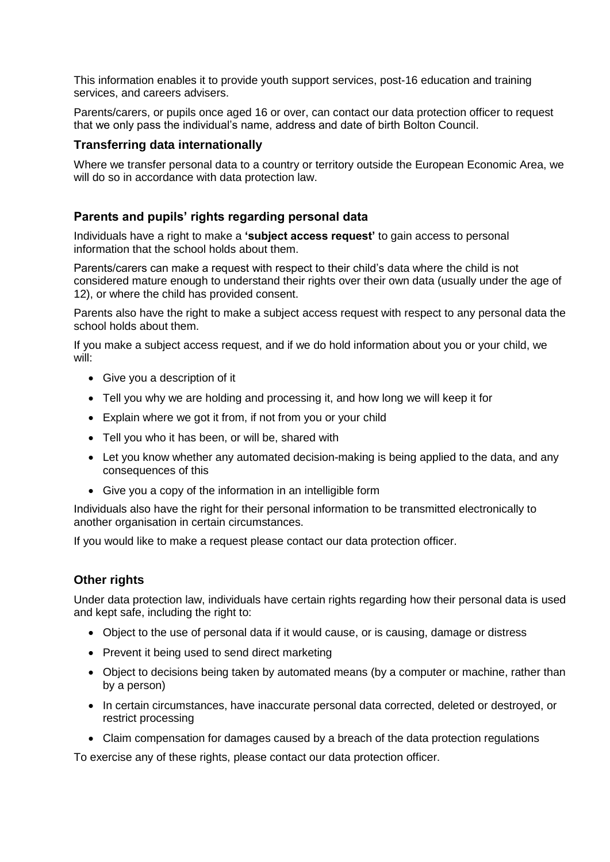This information enables it to provide youth support services, post-16 education and training services, and careers advisers.

Parents/carers, or pupils once aged 16 or over, can contact our data protection officer to request that we only pass the individual's name, address and date of birth Bolton Council.

### **Transferring data internationally**

Where we transfer personal data to a country or territory outside the European Economic Area, we will do so in accordance with data protection law.

### **Parents and pupils' rights regarding personal data**

Individuals have a right to make a **'subject access request'** to gain access to personal information that the school holds about them.

Parents/carers can make a request with respect to their child's data where the child is not considered mature enough to understand their rights over their own data (usually under the age of 12), or where the child has provided consent.

Parents also have the right to make a subject access request with respect to any personal data the school holds about them.

If you make a subject access request, and if we do hold information about you or your child, we will:

- Give you a description of it
- Tell you why we are holding and processing it, and how long we will keep it for
- Explain where we got it from, if not from you or your child
- Tell you who it has been, or will be, shared with
- Let you know whether any automated decision-making is being applied to the data, and any consequences of this
- Give you a copy of the information in an intelligible form

Individuals also have the right for their personal information to be transmitted electronically to another organisation in certain circumstances.

If you would like to make a request please contact our data protection officer.

### **Other rights**

Under data protection law, individuals have certain rights regarding how their personal data is used and kept safe, including the right to:

- Object to the use of personal data if it would cause, or is causing, damage or distress
- Prevent it being used to send direct marketing
- Object to decisions being taken by automated means (by a computer or machine, rather than by a person)
- In certain circumstances, have inaccurate personal data corrected, deleted or destroyed, or restrict processing
- Claim compensation for damages caused by a breach of the data protection regulations

To exercise any of these rights, please contact our data protection officer.